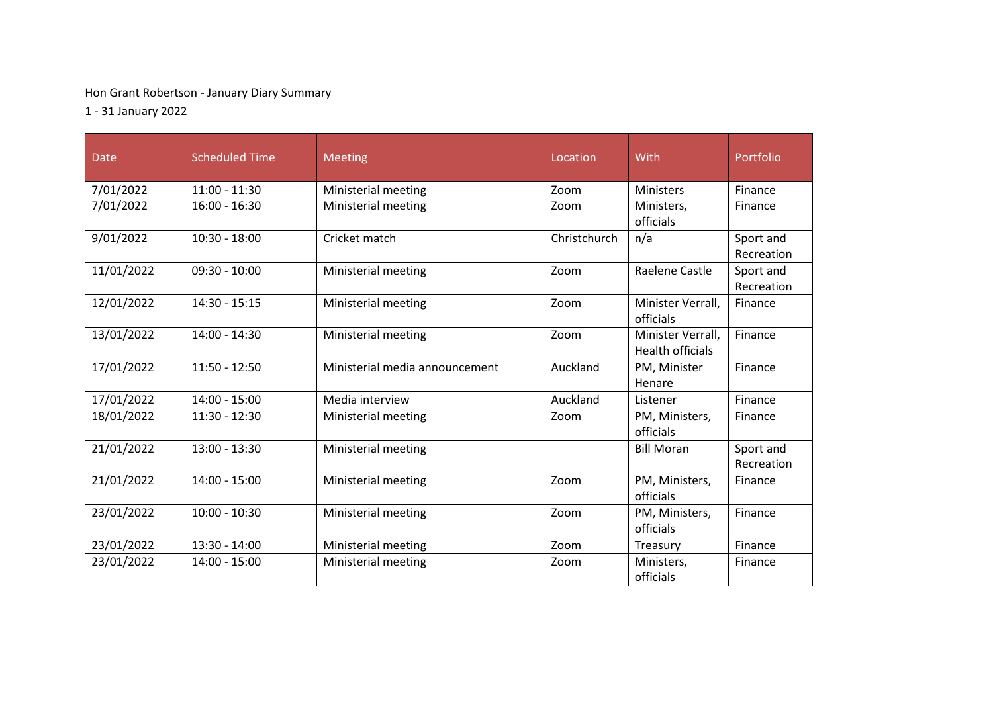## Hon Grant Robertson - January Diary Summary

1 - 31 January 2022

| Date       | <b>Scheduled Time</b> | <b>Meeting</b>                 | Location     | With                                         | Portfolio               |
|------------|-----------------------|--------------------------------|--------------|----------------------------------------------|-------------------------|
| 7/01/2022  | $11:00 - 11:30$       | Ministerial meeting            | Zoom         | <b>Ministers</b>                             | Finance                 |
| 7/01/2022  | $16:00 - 16:30$       | Ministerial meeting            | Zoom         | Ministers,<br>officials                      | Finance                 |
| 9/01/2022  | $10:30 - 18:00$       | Cricket match                  | Christchurch | n/a                                          | Sport and<br>Recreation |
| 11/01/2022 | $09:30 - 10:00$       | Ministerial meeting            | Zoom         | Raelene Castle                               | Sport and<br>Recreation |
| 12/01/2022 | $14:30 - 15:15$       | Ministerial meeting            | Zoom         | Minister Verrall,<br>officials               | Finance                 |
| 13/01/2022 | $14:00 - 14:30$       | Ministerial meeting            | Zoom         | Minister Verrall,<br><b>Health officials</b> | Finance                 |
| 17/01/2022 | $11:50 - 12:50$       | Ministerial media announcement | Auckland     | PM, Minister<br>Henare                       | Finance                 |
| 17/01/2022 | $14:00 - 15:00$       | Media interview                | Auckland     | Listener                                     | Finance                 |
| 18/01/2022 | $11:30 - 12:30$       | Ministerial meeting            | Zoom         | PM, Ministers,<br>officials                  | Finance                 |
| 21/01/2022 | $13:00 - 13:30$       | Ministerial meeting            |              | <b>Bill Moran</b>                            | Sport and<br>Recreation |
| 21/01/2022 | $14:00 - 15:00$       | Ministerial meeting            | Zoom         | PM, Ministers,<br>officials                  | Finance                 |
| 23/01/2022 | $10:00 - 10:30$       | Ministerial meeting            | Zoom         | PM, Ministers,<br>officials                  | Finance                 |
| 23/01/2022 | $13:30 - 14:00$       | Ministerial meeting            | Zoom         | Treasury                                     | Finance                 |
| 23/01/2022 | $14:00 - 15:00$       | Ministerial meeting            | Zoom         | Ministers,<br>officials                      | Finance                 |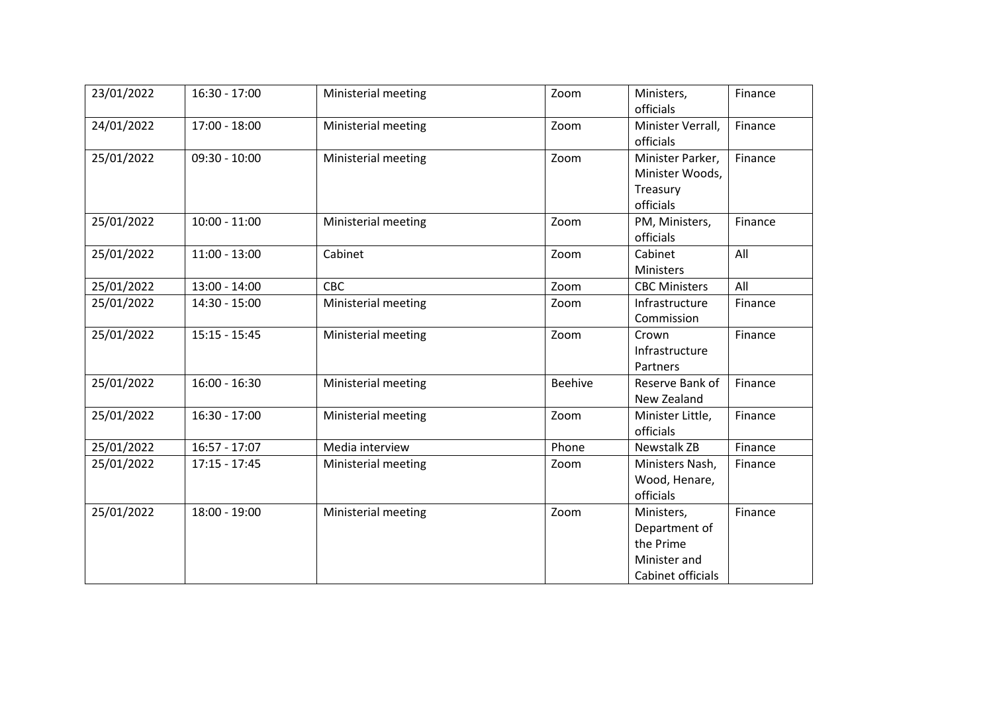| 23/01/2022 | $16:30 - 17:00$ | Ministerial meeting | Zoom           | Ministers,<br>officials                                                       | Finance |
|------------|-----------------|---------------------|----------------|-------------------------------------------------------------------------------|---------|
| 24/01/2022 | $17:00 - 18:00$ | Ministerial meeting | Zoom           | Minister Verrall,<br>officials                                                | Finance |
| 25/01/2022 | $09:30 - 10:00$ | Ministerial meeting | Zoom           | Minister Parker,<br>Minister Woods,<br>Treasury<br>officials                  | Finance |
| 25/01/2022 | $10:00 - 11:00$ | Ministerial meeting | Zoom           | PM, Ministers,<br>officials                                                   | Finance |
| 25/01/2022 | $11:00 - 13:00$ | Cabinet             | Zoom           | Cabinet<br>Ministers                                                          | All     |
| 25/01/2022 | $13:00 - 14:00$ | <b>CBC</b>          | Zoom           | <b>CBC Ministers</b>                                                          | All     |
| 25/01/2022 | 14:30 - 15:00   | Ministerial meeting | Zoom           | Infrastructure<br>Commission                                                  | Finance |
| 25/01/2022 | $15:15 - 15:45$ | Ministerial meeting | Zoom           | Crown<br>Infrastructure<br>Partners                                           | Finance |
| 25/01/2022 | $16:00 - 16:30$ | Ministerial meeting | <b>Beehive</b> | Reserve Bank of<br>New Zealand                                                | Finance |
| 25/01/2022 | 16:30 - 17:00   | Ministerial meeting | Zoom           | Minister Little,<br>officials                                                 | Finance |
| 25/01/2022 | $16:57 - 17:07$ | Media interview     | Phone          | Newstalk ZB                                                                   | Finance |
| 25/01/2022 | $17:15 - 17:45$ | Ministerial meeting | Zoom           | Ministers Nash,<br>Wood, Henare,<br>officials                                 | Finance |
| 25/01/2022 | 18:00 - 19:00   | Ministerial meeting | Zoom           | Ministers,<br>Department of<br>the Prime<br>Minister and<br>Cabinet officials | Finance |